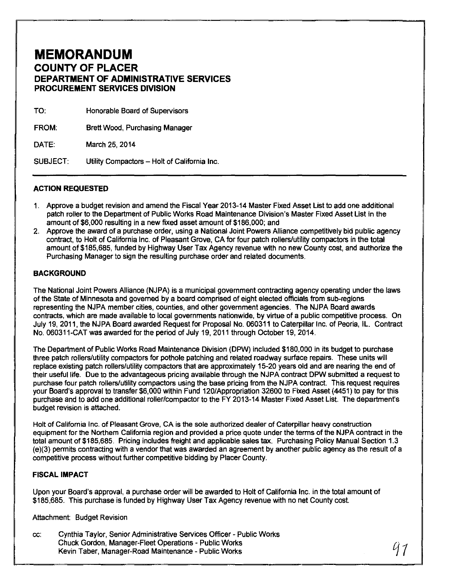## **MEMORANDUM COUNTY OF PLACER DEPARTMENT OF ADMINISTRATIVE SERVICES PROCUREMENT SERVICES DIVISION**

| TO:             | Honorable Board of Supervisors               |
|-----------------|----------------------------------------------|
| <b>FROM:</b>    | Brett Wood, Purchasing Manager               |
| <b>DATE:</b>    | March 25, 2014                               |
| <b>SUBJECT:</b> | Utility Compactors - Holt of California Inc. |

## **ACTION REQUESTED**

- 1. Approve a budget revision and amend the Fiscal Year 2013-14 Master Fixed Asset List to add one additional patch roller to the Department of Public Works Road Maintenance Division's Master Fixed Asset List in the amount of \$6,000 resulting in a new fixed asset amount of \$186,000; and
- 2. Approve the award of a purchase order, using a National Joint Powers Alliance competitively bid public agency contract, to Holt of California Inc. of Pleasant Grove, CA for four patch rollers/utility compactors in the total amount of \$185,685, funded by Highway User Tax Agency revenue with no new County cost, and authorize the Purchasing Manager to sign the resulting purchase order and related documents.

## **BACKGROUND**

The National Joint Powers Alliance (NJPA) is a municipal government contracting agency operating under the laws of the State of Minnesota and governed by a board comprised of eight elected officials from sub-regions representing the NJPA member cities, counties, and other government agencies. The NJPA Board awards contracts, which are made available to local governments nationwide, by virtue of a public competitive process. On July 19, 2011, the NJPA Board awarded Request for Proposal No. 060311 to Caterpillar Inc. of Peoria, IL. Contract No. 060311-CAT was awarded for the period of July 19, 2011 through October 19, 2014.

The Department of Public Works Road Maintenance Division (DPW) included \$180,000 in its budget to purchase three patch rollers/utility compactors for pothole patching and related roadway surface repairs. These units will replace existing patch rollers/utility compactors that are approximately 15-20 years old and are nearing the end of their useful life. Due to the advantageous pricing available through the NJPA contract DPW submitted a request to purchase four patch rollers/utility compactors using the base pricing from the NJPA contract. This request requires your Board's approval to transfer \$6,000 within Fund 120/Appropriation 32600 to Fixed Asset (4451) to pay for this purchase and to add one additional roller/compactor to the FY 2013-14 Master Fixed Asset List. The departmenfs budget revision is attached.

Holt of California Inc. of Pleasant Grove, CA is the sole authorized dealer of Caterpillar heavy construction equipment for the Northern California region and provided a price quote under the terms of the NJPA contract in the total amount of \$185,685. Pricing includes freight and applicable sales tax. Purchasing Policy Manual Section 1.3 (e)(3) permits contracting with a vendor that was awarded an agreement by another public agency as the result of a competitive process without further competitive bidding by Placer County.

## **FISCAL IMPACT**

Upon your Board's approval, a purchase order will be awarded to Holt of California Inc. in the total amount of \$185,685. This purchase is funded by Highway User Tax Agency revenue with no net County cost.

Attachment: Budget Revision

cc: Cynthia Taylor, Senior Administrative Services Officer- Public Works Chuck Gordon, Manager-Fleet Operations- Public Works Kevin Taber, Manager-Road Maintenance- Public Works *01*